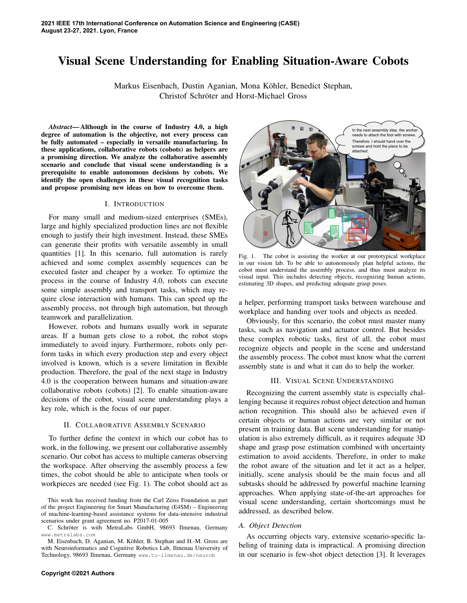# Visual Scene Understanding for Enabling Situation-Aware Cobots

Markus Eisenbach, Dustin Aganian, Mona Kohler, Benedict Stephan, ¨ Christof Schroter and Horst-Michael Gross ¨

*Abstract*— Although in the course of Industry 4.0, a high degree of automation is the objective, not every process can be fully automated – especially in versatile manufacturing. In these applications, collaborative robots (cobots) as helpers are a promising direction. We analyze the collaborative assembly scenario and conclude that visual scene understanding is a prerequisite to enable autonomous decisions by cobots. We identify the open challenges in these visual recognition tasks and propose promising new ideas on how to overcome them.

## I. INTRODUCTION

For many small and medium-sized enterprises (SMEs), large and highly specialized production lines are not flexible enough to justify their high investment. Instead, these SMEs can generate their profits with versatile assembly in small quantities [1]. In this scenario, full automation is rarely achieved and some complex assembly sequences can be executed faster and cheaper by a worker. To optimize the process in the course of Industry 4.0, robots can execute some simple assembly and transport tasks, which may require close interaction with humans. This can speed up the assembly process, not through high automation, but through teamwork and parallelization.

However, robots and humans usually work in separate areas. If a human gets close to a robot, the robot stops immediately to avoid injury. Furthermore, robots only perform tasks in which every production step and every object involved is known, which is a severe limitation in flexible production. Therefore, the goal of the next stage in Industry 4.0 is the cooperation between humans and situation-aware collaborative robots (cobots) [2]. To enable situation-aware decisions of the cobot, visual scene understanding plays a key role, which is the focus of our paper.

#### II. COLLABORATIVE ASSEMBLY SCENARIO

To further define the context in which our cobot has to work, in the following, we present our collaborative assembly scenario. Our cobot has access to multiple cameras observing the workspace. After observing the assembly process a few times, the cobot should be able to anticipate when tools or workpieces are needed (see Fig. 1). The cobot should act as



Fig. 1. The cobot is assisting the worker at our prototypical workplace in our vision lab. To be able to autonomously plan helpful actions, the cobot must understand the assembly process, and thus must analyze its visual input. This includes detecting objects, recognizing human actions, estimating 3D shapes, and predicting adequate grasp poses.

a helper, performing transport tasks between warehouse and workplace and handing over tools and objects as needed.

Obviously, for this scenario, the cobot must master many tasks, such as navigation and actuator control. But besides these complex robotic tasks, first of all, the cobot must recognize objects and people in the scene and understand the assembly process. The cobot must know what the current assembly state is and what it can do to help the worker.

## III. VISUAL SCENE UNDERSTANDING

Recognizing the current assembly state is especially challenging because it requires robust object detection and human action recognition. This should also be achieved even if certain objects or human actions are very similar or not present in training data. But scene understanding for manipulation is also extremely difficult, as it requires adequate 3D shape and grasp pose estimation combined with uncertainty estimation to avoid accidents. Therefore, in order to make the robot aware of the situation and let it act as a helper, initially, scene analysis should be the main focus and all subtasks should be addressed by powerful machine learning approaches. When applying state-of-the-art approaches for visual scene understanding, certain shortcomings must be addressed, as described below.

## *A. Object Detection*

As occurring objects vary, extensive scenario-specific labeling of training data is impractical. A promising direction in our scenario is few-shot object detection [3]. It leverages

This work has received funding from the Carl Zeiss Foundation as part of the project Engineering for Smart Manufacturing (E4SM) – Engineering of machine-learning-based assistance systems for data-intensive industrial scenarios under grant agreement no. P2017-01-005

C. Schröter is with MetraLabs GmbH, 98693 Ilmenau, Germany www.metralabs.com

M. Eisenbach, D. Aganian, M. Köhler, B. Stephan and H.-M. Gross are with Neuroinformatics and Cognitive Robotics Lab, Ilmenau University of Technology, 98693 Ilmenau, Germany www.tu-ilmenau.de/neurob